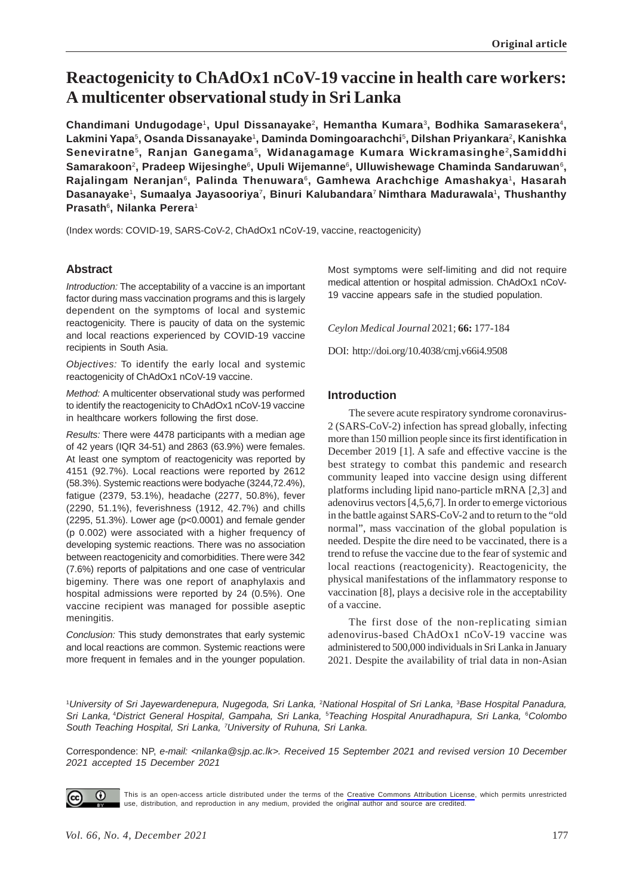# **Reactogenicity to ChAdOx1 nCoV-19 vaccine in health care workers: A multicenter observational study in Sri Lanka**

**Chandimani Undugodage**1**, Upul Dissanayake**<sup>2</sup> **, Hemantha Kumara**3**, Bodhika Samarasekera**4**, Lakmini Yapa**5**, Osanda Dissanayake**1**, Daminda Domingoarachchi**5**, Dilshan Priyankara**2**, Kanishka Seneviratne**5**, Ranjan Ganegama**5**, Widanagamage Kumara Wickramasinghe**2**,Samiddhi**  ${\sf S}$ amarakoon $^2$ , Pradeep Wijesinghe $^6$ , Upuli Wijemanne $^6$ , Ulluwishewage Chaminda Sandaruwan $^6$ , **Rajalingam Neranjan**6**, Palinda Thenuwara**6**, Gamhewa Arachchige Amashakya**1**, Hasarah Dasanayake**<sup>1</sup> **, Sumaalya Jayasooriya**<sup>7</sup> **, Binuri Kalubandara**7 **Nimthara Madurawala**1**, Thushanthy Prasath**6**, Nilanka Perera**<sup>1</sup>

(Index words: COVID-19, SARS-CoV-2, ChAdOx1 nCoV-19, vaccine, reactogenicity)

# **Abstract**

*Introduction:* The acceptability of a vaccine is an important factor during mass vaccination programs and this is largely dependent on the symptoms of local and systemic reactogenicity. There is paucity of data on the systemic and local reactions experienced by COVID-19 vaccine recipients in South Asia.

*Objectives:* To identify the early local and systemic reactogenicity of ChAdOx1 nCoV-19 vaccine.

*Method:* A multicenter observational study was performed to identify the reactogenicity to ChAdOx1 nCoV-19 vaccine in healthcare workers following the first dose.

*Results:* There were 4478 participants with a median age of 42 years (IQR 34-51) and 2863 (63.9%) were females. At least one symptom of reactogenicity was reported by 4151 (92.7%). Local reactions were reported by 2612 (58.3%). Systemic reactions were bodyache (3244,72.4%), fatigue (2379, 53.1%), headache (2277, 50.8%), fever (2290, 51.1%), feverishness (1912, 42.7%) and chills (2295, 51.3%). Lower age (p<0.0001) and female gender (p 0.002) were associated with a higher frequency of developing systemic reactions. There was no association between reactogenicity and comorbidities. There were 342 (7.6%) reports of palpitations and one case of ventricular bigeminy. There was one report of anaphylaxis and hospital admissions were reported by 24 (0.5%). One vaccine recipient was managed for possible aseptic meningitis.

*Conclusion:* This study demonstrates that early systemic and local reactions are common. Systemic reactions were more frequent in females and in the younger population. Most symptoms were self-limiting and did not require medical attention or hospital admission. ChAdOx1 nCoV-19 vaccine appears safe in the studied population.

*Ceylon Medical Journal* 2021; **66:** 177-184

DOI: http://doi.org/10.4038/cmj.v66i4.9508

# **Introduction**

The severe acute respiratory syndrome coronavirus-2 (SARS-CoV-2) infection has spread globally, infecting more than 150 million people since its first identification in December 2019 [1]. A safe and effective vaccine is the best strategy to combat this pandemic and research community leaped into vaccine design using different platforms including lipid nano-particle mRNA [2,3] and adenovirus vectors [4,5,6,7]. In order to emerge victorious in the battle against SARS-CoV-2 and to return to the "old normal", mass vaccination of the global population is needed. Despite the dire need to be vaccinated, there is a trend to refuse the vaccine due to the fear of systemic and local reactions (reactogenicity). Reactogenicity, the physical manifestations of the inflammatory response to vaccination [8], plays a decisive role in the acceptability of a vaccine.

The first dose of the non-replicating simian adenovirus-based ChAdOx1 nCoV-19 vaccine was administered to 500,000 individuals in Sri Lanka in January 2021. Despite the availability of trial data in non-Asian

<sup>1</sup>*University of Sri Jayewardenepura, Nugegoda, Sri Lanka,* 2*National Hospital of Sri Lanka,* <sup>3</sup> *Base Hospital Panadura, Sri Lanka,* 4*District General Hospital, Gampaha, Sri Lanka,* 5*Teaching Hospital Anuradhapura, Sri Lanka,* 6*Colombo South Teaching Hospital, Sri Lanka, 7 University of Ruhuna, Sri Lanka.*

Correspondence: NP, *e-mail: <nilanka@sjp.ac.lk>. Received 15 September 2021 and revised version 10 December 2021 accepted 15 December 2021*



This is an open-access article distributed under the terms of the [Creative Commons Attribution License](https://creativecommons.org/licenses/by/4.0/legalcode), which permits unrestricted use, distribution, and reproduction in any medium, provided the original author and source are credited.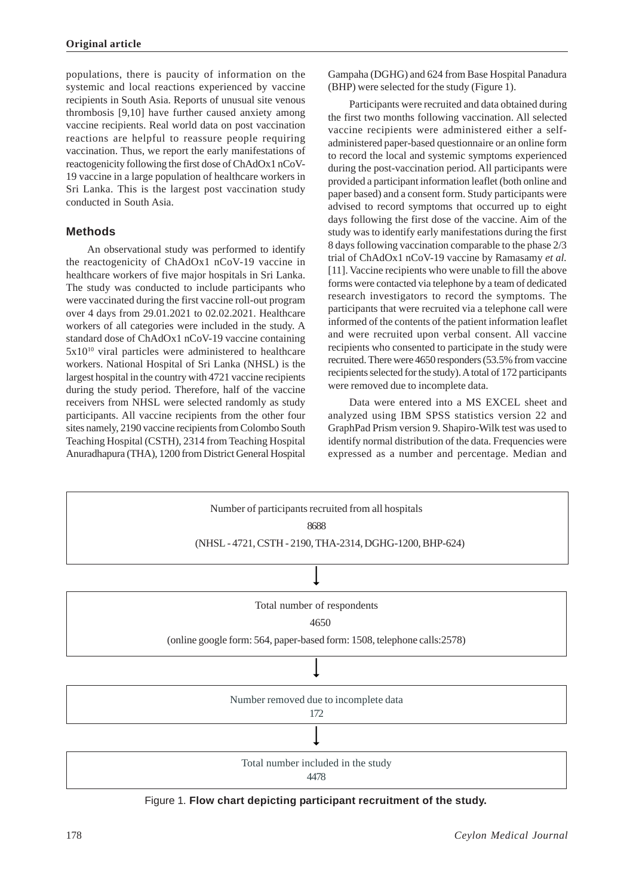populations, there is paucity of information on the systemic and local reactions experienced by vaccine recipients in South Asia. Reports of unusual site venous thrombosis [9,10] have further caused anxiety among vaccine recipients. Real world data on post vaccination reactions are helpful to reassure people requiring vaccination. Thus, we report the early manifestations of reactogenicity following the first dose of ChAdOx1 nCoV-19 vaccine in a large population of healthcare workers in Sri Lanka. This is the largest post vaccination study conducted in South Asia.

#### **Methods**

An observational study was performed to identify the reactogenicity of ChAdOx1 nCoV-19 vaccine in healthcare workers of five major hospitals in Sri Lanka. The study was conducted to include participants who were vaccinated during the first vaccine roll-out program over 4 days from 29.01.2021 to 02.02.2021. Healthcare workers of all categories were included in the study. A standard dose of ChAdOx1 nCoV-19 vaccine containing 5x1010 viral particles were administered to healthcare workers. National Hospital of Sri Lanka (NHSL) is the largest hospital in the country with 4721 vaccine recipients during the study period. Therefore, half of the vaccine receivers from NHSL were selected randomly as study participants. All vaccine recipients from the other four sites namely, 2190 vaccine recipients from Colombo South Teaching Hospital (CSTH), 2314 from Teaching Hospital Anuradhapura (THA), 1200 from District General Hospital

Gampaha (DGHG) and 624 from Base Hospital Panadura (BHP) were selected for the study (Figure 1).

Participants were recruited and data obtained during the first two months following vaccination. All selected vaccine recipients were administered either a selfadministered paper-based questionnaire or an online form to record the local and systemic symptoms experienced during the post-vaccination period. All participants were provided a participant information leaflet (both online and paper based) and a consent form. Study participants were advised to record symptoms that occurred up to eight days following the first dose of the vaccine. Aim of the study was to identify early manifestations during the first 8 days following vaccination comparable to the phase 2/3 trial of ChAdOx1 nCoV-19 vaccine by Ramasamy *et al.* [11]. Vaccine recipients who were unable to fill the above forms were contacted via telephone by a team of dedicated research investigators to record the symptoms. The participants that were recruited via a telephone call were informed of the contents of the patient information leaflet and were recruited upon verbal consent. All vaccine recipients who consented to participate in the study were recruited. There were 4650 responders (53.5% from vaccine recipients selected for the study). A total of 172 participants were removed due to incomplete data.

Data were entered into a MS EXCEL sheet and analyzed using IBM SPSS statistics version 22 and GraphPad Prism version 9. Shapiro-Wilk test was used to identify normal distribution of the data. Frequencies were expressed as a number and percentage. Median and



Figure 1. **Flow chart depicting participant recruitment of the study.**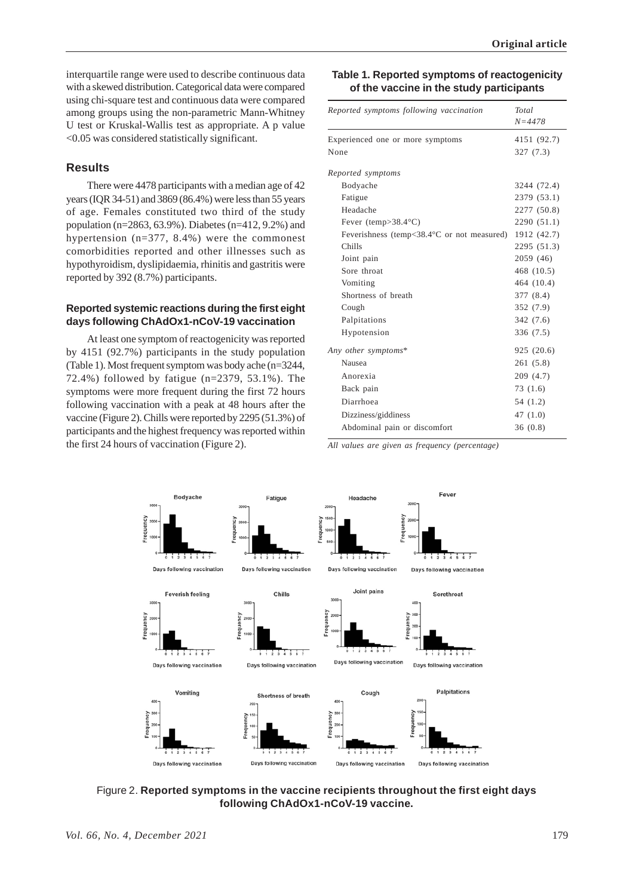interquartile range were used to describe continuous data with a skewed distribution. Categorical data were compared using chi-square test and continuous data were compared among groups using the non-parametric Mann-Whitney U test or Kruskal-Wallis test as appropriate. A p value <0.05 was considered statistically significant.

## **Results**

There were 4478 participants with a median age of 42 years (IQR 34-51) and 3869 (86.4%) were less than 55 years of age. Females constituted two third of the study population (n=2863, 63.9%). Diabetes (n=412, 9.2%) and hypertension (n=377, 8.4%) were the commonest comorbidities reported and other illnesses such as hypothyroidism, dyslipidaemia, rhinitis and gastritis were reported by 392 (8.7%) participants.

# **Reported systemic reactions during the first eight days following ChAdOx1-nCoV-19 vaccination**

At least one symptom of reactogenicity was reported by 4151 (92.7%) participants in the study population (Table 1). Most frequent symptom was body ache (n=3244, 72.4%) followed by fatigue (n=2379, 53.1%). The symptoms were more frequent during the first 72 hours following vaccination with a peak at 48 hours after the vaccine (Figure 2). Chills were reported by 2295 (51.3%) of participants and the highest frequency was reported within the first 24 hours of vaccination (Figure 2).

# **Table 1. Reported symptoms of reactogenicity of the vaccine in the study participants**

| Reported symptoms following vaccination                  | Total<br>$N = 4478$ |
|----------------------------------------------------------|---------------------|
| Experienced one or more symptoms                         | 4151 (92.7)         |
| None                                                     | 327 (7.3)           |
| Reported symptoms                                        |                     |
| Bodyache                                                 | 3244 (72.4)         |
| Fatigue                                                  | 2379 (53.1)         |
| Headache                                                 | 2277 (50.8)         |
| Fever (temp>38.4 $\textdegree$ C)                        | 2290 (51.1)         |
| Feverishness (temp $<$ 38.4 $\degree$ C or not measured) | 1912 (42.7)         |
| Chills                                                   | 2295 (51.3)         |
| Joint pain                                               | 2059 (46)           |
| Sore throat                                              | 468 (10.5)          |
| Vomiting                                                 | 464 (10.4)          |
| Shortness of breath                                      | 377 (8.4)           |
| Cough                                                    | 352 (7.9)           |
| Palpitations                                             | 342 (7.6)           |
| Hypotension                                              | 336 (7.5)           |
| Any other symptoms*                                      | 925 (20.6)          |
| Nausea                                                   | 261 (5.8)           |
| Anorexia                                                 | 209 (4.7)           |
| Back pain                                                | 73 (1.6)            |
| Diarrhoea                                                | 54 (1.2)            |
| Dizziness/giddiness                                      | 47 (1.0)            |
| Abdominal pain or discomfort                             | 36(0.8)             |

*All values are given as frequency (percentage)*



Figure 2. **Reported symptoms in the vaccine recipients throughout the first eight days following ChAdOx1-nCoV-19 vaccine.**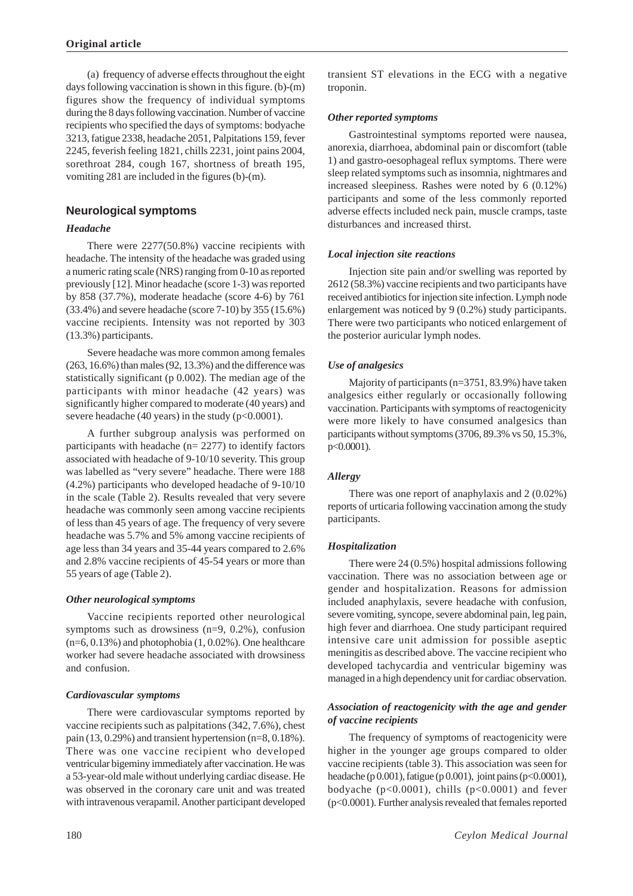(a) frequency of adverse effects throughout the eight days following vaccination is shown in this figure. (b)-(m) figures show the frequency of individual symptoms during the 8 days following vaccination. Number of vaccine recipients who specified the days of symptoms: bodyache 3213, fatigue 2338, headache 2051, Palpitations 159, fever 2245, feverish feeling 1821, chills 2231, joint pains 2004, sorethroat 284, cough 167, shortness of breath 195, vomiting 281 are included in the figures (b)-(m).

# **Neurological symptoms**

## *Headache*

There were 2277(50.8%) vaccine recipients with headache. The intensity of the headache was graded using a numeric rating scale (NRS) ranging from 0-10 as reported previously [12]. Minor headache (score 1-3) was reported by 858 (37.7%), moderate headache (score 4-6) by 761 (33.4%) and severe headache (score 7-10) by 355 (15.6%) vaccine recipients. Intensity was not reported by 303 (13.3%) participants.

Severe headache was more common among females (263, 16.6%) than males (92, 13.3%) and the difference was statistically significant (p 0.002). The median age of the participants with minor headache (42 years) was significantly higher compared to moderate (40 years) and severe headache (40 years) in the study ( $p<0.0001$ ).

A further subgroup analysis was performed on participants with headache (n= 2277) to identify factors associated with headache of 9-10/10 severity. This group was labelled as "very severe" headache. There were 188 (4.2%) participants who developed headache of 9-10/10 in the scale (Table 2). Results revealed that very severe headache was commonly seen among vaccine recipients of less than 45 years of age. The frequency of very severe headache was 5.7% and 5% among vaccine recipients of age less than 34 years and 35-44 years compared to 2.6% and 2.8% vaccine recipients of 45-54 years or more than 55 years of age (Table 2).

## *Other neurological symptoms*

Vaccine recipients reported other neurological symptoms such as drowsiness (n=9, 0.2%), confusion (n=6, 0.13%) and photophobia (1, 0.02%). One healthcare worker had severe headache associated with drowsiness and confusion.

## *Cardiovascular symptoms*

There were cardiovascular symptoms reported by vaccine recipients such as palpitations (342, 7.6%), chest pain (13, 0.29%) and transient hypertension (n=8, 0.18%). There was one vaccine recipient who developed ventricular bigeminy immediately after vaccination. He was a 53-year-old male without underlying cardiac disease. He was observed in the coronary care unit and was treated with intravenous verapamil. Another participant developed transient ST elevations in the ECG with a negative troponin.

# *Other reported symptoms*

Gastrointestinal symptoms reported were nausea, anorexia, diarrhoea, abdominal pain or discomfort (table 1) and gastro-oesophageal reflux symptoms. There were sleep related symptoms such as insomnia, nightmares and increased sleepiness. Rashes were noted by 6 (0.12%) participants and some of the less commonly reported adverse effects included neck pain, muscle cramps, taste disturbances and increased thirst.

# *Local injection site reactions*

Injection site pain and/or swelling was reported by 2612 (58.3%) vaccine recipients and two participants have received antibiotics for injection site infection. Lymph node enlargement was noticed by 9 (0.2%) study participants. There were two participants who noticed enlargement of the posterior auricular lymph nodes.

# *Use of analgesics*

Majority of participants (n=3751, 83.9%) have taken analgesics either regularly or occasionally following vaccination. Participants with symptoms of reactogenicity were more likely to have consumed analgesics than participants without symptoms (3706, 89.3% vs 50, 15.3%, p<0.0001).

## *Allergy*

There was one report of anaphylaxis and 2 (0.02%) reports of urticaria following vaccination among the study participants.

## *Hospitalization*

There were 24 (0.5%) hospital admissions following vaccination. There was no association between age or gender and hospitalization. Reasons for admission included anaphylaxis, severe headache with confusion, severe vomiting, syncope, severe abdominal pain, leg pain, high fever and diarrhoea. One study participant required intensive care unit admission for possible aseptic meningitis as described above. The vaccine recipient who developed tachycardia and ventricular bigeminy was managed in a high dependency unit for cardiac observation.

# *Association of reactogenicity with the age and gender of vaccine recipients*

The frequency of symptoms of reactogenicity were higher in the younger age groups compared to older vaccine recipients (table 3). This association was seen for headache (p 0.001), fatigue (p 0.001), joint pains (p < 0.0001), bodyache ( $p<0.0001$ ), chills ( $p<0.0001$ ) and fever (p<0.0001). Further analysis revealed that females reported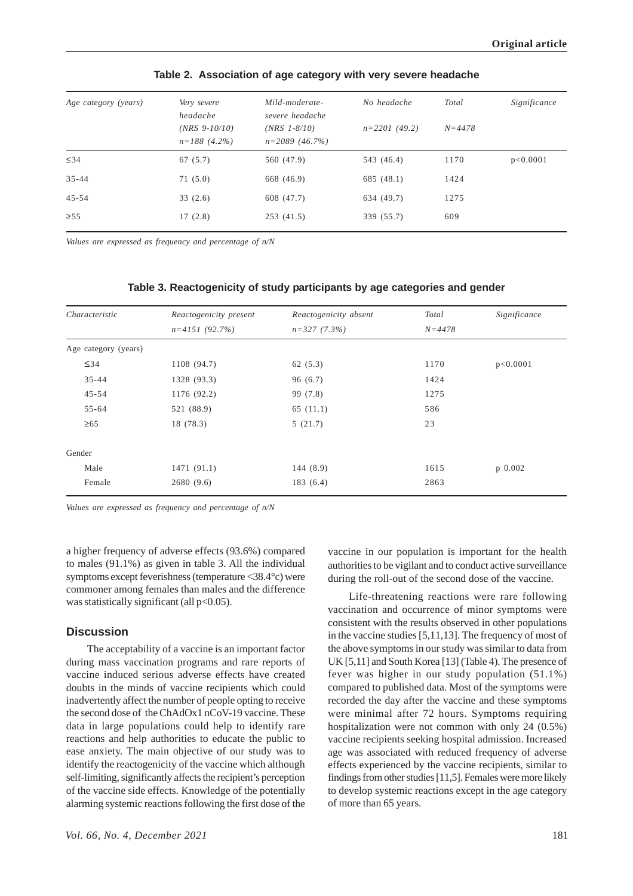| Age category (years) | Very severe<br>headache           | Mild-moderate-<br>severe headache   | No headache    | Total      | Significance |
|----------------------|-----------------------------------|-------------------------------------|----------------|------------|--------------|
|                      | $(NRS 9-10/10)$<br>$n=188(4.2\%)$ | $(NRS \ 1-8/10)$<br>$n=2089(46.7%)$ | $n=2201(49.2)$ | $N = 4478$ |              |
| $\leq$ 34            | 67(5.7)                           | 560 (47.9)                          | 543 (46.4)     | 1170       | p<0.0001     |
| $35 - 44$            | 71(5.0)                           | 668 (46.9)                          | 685 (48.1)     | 1424       |              |
| $45 - 54$            | 33(2.6)                           | 608 (47.7)                          | 634 (49.7)     | 1275       |              |
| $\geq 55$            | 17(2.8)                           | 253(41.5)                           | 339 (55.7)     | 609        |              |
|                      |                                   |                                     |                |            |              |

#### **Table 2. Association of age category with very severe headache**

*Values are expressed as frequency and percentage of n/N*

| Characteristic       | Reactogenicity present | Reactogenicity absent | Total      | Significance |
|----------------------|------------------------|-----------------------|------------|--------------|
|                      | $n=4151(92.7%)$        | $n=327(7.3\%)$        | $N = 4478$ |              |
| Age category (years) |                        |                       |            |              |
| $\leq$ 34            | 1108 (94.7)            | 62(5.3)               | 1170       | p<0.0001     |
| $35 - 44$            | 1328 (93.3)            | 96(6.7)               | 1424       |              |
| $45 - 54$            | 1176 (92.2)            | 99 (7.8)              | 1275       |              |
| $55 - 64$            | 521 (88.9)             | 65(11.1)              | 586        |              |
| $\geq 65$            | 18 (78.3)              | 5(21.7)               | 23         |              |
| Gender               |                        |                       |            |              |
| Male                 | 1471 (91.1)            | 144(8.9)              | 1615       | p 0.002      |
| Female               | 2680(9.6)              | 183 (6.4)             | 2863       |              |

# **Table 3. Reactogenicity of study participants by age categories and gender**

*Values are expressed as frequency and percentage of n/N*

a higher frequency of adverse effects (93.6%) compared to males (91.1%) as given in table 3. All the individual symptoms except feverishness (temperature <38.4°c) were commoner among females than males and the difference was statistically significant (all  $p<0.05$ ).

#### **Discussion**

The acceptability of a vaccine is an important factor during mass vaccination programs and rare reports of vaccine induced serious adverse effects have created doubts in the minds of vaccine recipients which could inadvertently affect the number of people opting to receive the second dose of the ChAdOx1 nCoV-19 vaccine. These data in large populations could help to identify rare reactions and help authorities to educate the public to ease anxiety. The main objective of our study was to identify the reactogenicity of the vaccine which although self-limiting, significantly affects the recipient's perception of the vaccine side effects. Knowledge of the potentially alarming systemic reactions following the first dose of the vaccine in our population is important for the health authorities to be vigilant and to conduct active surveillance during the roll-out of the second dose of the vaccine.

Life-threatening reactions were rare following vaccination and occurrence of minor symptoms were consistent with the results observed in other populations in the vaccine studies [5,11,13]. The frequency of most of the above symptoms in our study was similar to data from UK [5,11] and South Korea [13] (Table 4). The presence of fever was higher in our study population (51.1%) compared to published data. Most of the symptoms were recorded the day after the vaccine and these symptoms were minimal after 72 hours. Symptoms requiring hospitalization were not common with only 24 (0.5%) vaccine recipients seeking hospital admission. Increased age was associated with reduced frequency of adverse effects experienced by the vaccine recipients, similar to findings from other studies [11,5]. Females were more likely to develop systemic reactions except in the age category of more than 65 years.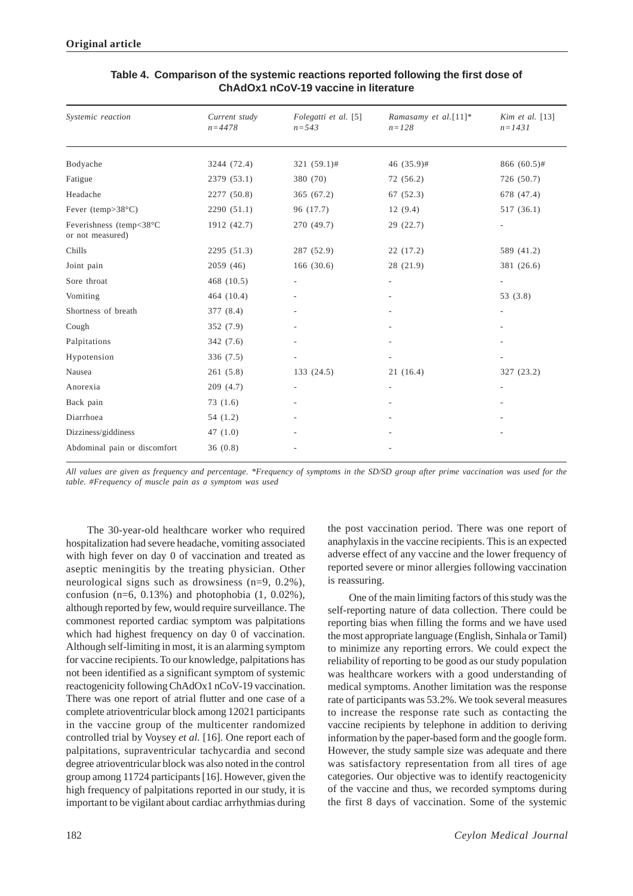| Systemic reaction                           | Current study<br>$n = 4478$ | Folegatti et al. [5]<br>$n = 543$ | Ramasamy et al.[11]*<br>$n = 128$ | Kim et al. $[13]$<br>$n = 1431$ |
|---------------------------------------------|-----------------------------|-----------------------------------|-----------------------------------|---------------------------------|
| Bodyache                                    | 3244 (72.4)                 | 321 (59.1)#                       | $46(35.9)$ #                      | 866 (60.5)#                     |
| Fatigue                                     | 2379 (53.1)                 | 380 (70)                          | 72(56.2)                          | 726 (50.7)                      |
| Headache                                    | 2277 (50.8)                 | 365 (67.2)                        | 67(52.3)                          | 678 (47.4)                      |
| Fever (temp> $38^{\circ}$ C)                | 2290(51.1)                  | 96 (17.7)                         | 12(9.4)                           | 517 (36.1)                      |
| Feverishness (temp<38°C<br>or not measured) | 1912 (42.7)                 | 270 (49.7)                        | 29(22.7)                          |                                 |
| Chills                                      | 2295 (51.3)                 | 287 (52.9)                        | 22(17.2)                          | 589 (41.2)                      |
| Joint pain                                  | 2059(46)                    | 166(30.6)                         | 28 (21.9)                         | 381 (26.6)                      |
| Sore throat                                 | 468 (10.5)                  |                                   |                                   |                                 |
| Vomiting                                    | 464(10.4)                   |                                   |                                   | 53(3.8)                         |
| Shortness of breath                         | 377 (8.4)                   |                                   |                                   |                                 |
| Cough                                       | 352 (7.9)                   |                                   |                                   |                                 |
| Palpitations                                | 342 (7.6)                   | $\overline{a}$                    |                                   |                                 |
| Hypotension                                 | 336 (7.5)                   |                                   |                                   |                                 |
| Nausea                                      | 261(5.8)                    | 133 (24.5)                        | 21(16.4)                          | 327 (23.2)                      |
| Anorexia                                    | 209(4.7)                    | $\overline{\phantom{a}}$          |                                   |                                 |
| Back pain                                   | 73(1.6)                     |                                   |                                   |                                 |
| Diarrhoea                                   | 54(1.2)                     |                                   |                                   |                                 |
| Dizziness/giddiness                         | 47 $(1.0)$                  |                                   |                                   |                                 |
| Abdominal pain or discomfort                | 36(0.8)                     |                                   |                                   |                                 |

# **Table 4. Comparison of the systemic reactions reported following the first dose of ChAdOx1 nCoV-19 vaccine in literature**

*All values are given as frequency and percentage. \*Frequency of symptoms in the SD/SD group after prime vaccination was used for the table. #Frequency of muscle pain as a symptom was used*

The 30-year-old healthcare worker who required hospitalization had severe headache, vomiting associated with high fever on day 0 of vaccination and treated as aseptic meningitis by the treating physician. Other neurological signs such as drowsiness (n=9, 0.2%), confusion ( $n=6$ , 0.13%) and photophobia (1, 0.02%), although reported by few, would require surveillance. The commonest reported cardiac symptom was palpitations which had highest frequency on day 0 of vaccination. Although self-limiting in most, it is an alarming symptom for vaccine recipients. To our knowledge, palpitations has not been identified as a significant symptom of systemic reactogenicity following ChAdOx1 nCoV-19 vaccination. There was one report of atrial flutter and one case of a complete atrioventricular block among 12021 participants in the vaccine group of the multicenter randomized controlled trial by Voysey *et al.* [16]. One report each of palpitations, supraventricular tachycardia and second degree atrioventricular block was also noted in the control group among 11724 participants [16]. However, given the high frequency of palpitations reported in our study, it is important to be vigilant about cardiac arrhythmias during the post vaccination period. There was one report of anaphylaxis in the vaccine recipients. This is an expected adverse effect of any vaccine and the lower frequency of reported severe or minor allergies following vaccination is reassuring.

One of the main limiting factors of this study was the self-reporting nature of data collection. There could be reporting bias when filling the forms and we have used the most appropriate language (English, Sinhala or Tamil) to minimize any reporting errors. We could expect the reliability of reporting to be good as our study population was healthcare workers with a good understanding of medical symptoms. Another limitation was the response rate of participants was 53.2%. We took several measures to increase the response rate such as contacting the vaccine recipients by telephone in addition to deriving information by the paper-based form and the google form. However, the study sample size was adequate and there was satisfactory representation from all tires of age categories. Our objective was to identify reactogenicity of the vaccine and thus, we recorded symptoms during the first 8 days of vaccination. Some of the systemic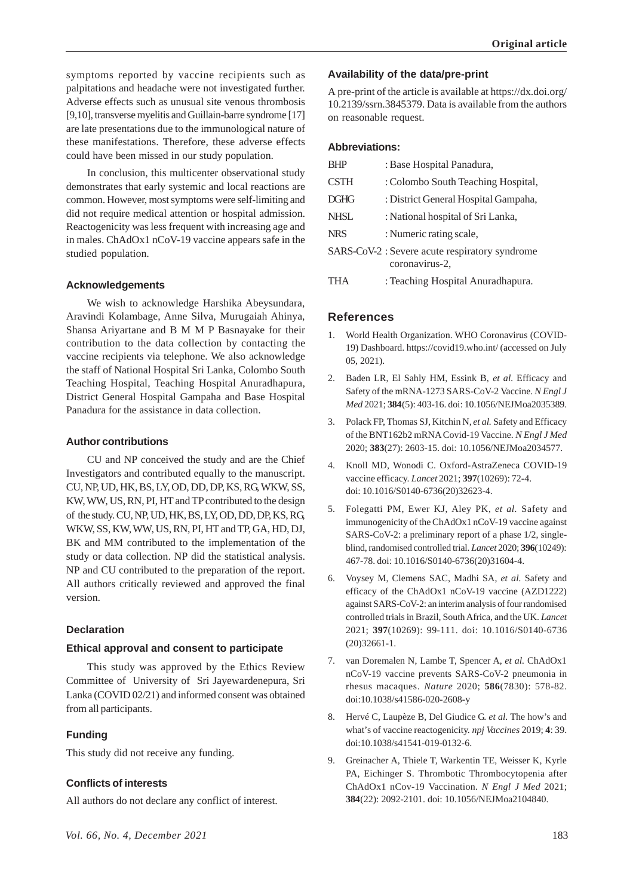symptoms reported by vaccine recipients such as palpitations and headache were not investigated further. Adverse effects such as unusual site venous thrombosis [9,10], transverse myelitis and Guillain-barre syndrome [17] are late presentations due to the immunological nature of these manifestations. Therefore, these adverse effects could have been missed in our study population.

In conclusion, this multicenter observational study demonstrates that early systemic and local reactions are common. However, most symptoms were self-limiting and did not require medical attention or hospital admission. Reactogenicity was less frequent with increasing age and in males. ChAdOx1 nCoV-19 vaccine appears safe in the studied population.

#### **Acknowledgements**

We wish to acknowledge Harshika Abeysundara, Aravindi Kolambage, Anne Silva, Murugaiah Ahinya, Shansa Ariyartane and B M M P Basnayake for their contribution to the data collection by contacting the vaccine recipients via telephone. We also acknowledge the staff of National Hospital Sri Lanka, Colombo South Teaching Hospital, Teaching Hospital Anuradhapura, District General Hospital Gampaha and Base Hospital Panadura for the assistance in data collection.

#### **Author contributions**

CU and NP conceived the study and are the Chief Investigators and contributed equally to the manuscript. CU, NP, UD, HK, BS, LY, OD, DD, DP, KS, RG, WKW, SS, KW, WW, US, RN, PI, HT and TP contributed to the design of the study. CU, NP, UD, HK, BS, LY, OD, DD, DP, KS, RG, WKW, SS, KW, WW, US, RN, PI, HT and TP, GA, HD, DJ, BK and MM contributed to the implementation of the study or data collection. NP did the statistical analysis. NP and CU contributed to the preparation of the report. All authors critically reviewed and approved the final version.

#### **Declaration**

## **Ethical approval and consent to participate**

This study was approved by the Ethics Review Committee of University of Sri Jayewardenepura, Sri Lanka (COVID 02/21) and informed consent was obtained from all participants.

## **Funding**

This study did not receive any funding.

#### **Conflicts of interests**

All authors do not declare any conflict of interest.

#### **Availability of the data/pre-print**

A pre-print of the article is available at https://dx.doi.org/ 10.2139/ssrn.3845379. Data is available from the authors on reasonable request.

# **Abbreviations:**

| <b>BHP</b>  | : Base Hospital Panadura,                                        |
|-------------|------------------------------------------------------------------|
| <b>CSTH</b> | : Colombo South Teaching Hospital,                               |
| <b>DGHG</b> | : District General Hospital Gampaha,                             |
| <b>NHSL</b> | : National hospital of Sri Lanka,                                |
| <b>NRS</b>  | : Numeric rating scale,                                          |
|             | SARS-CoV-2 : Severe acute respiratory syndrome<br>coronavirus-2, |
| THA         | : Teaching Hospital Anuradhapura.                                |

#### **References**

- 1. World Health Organization. WHO Coronavirus (COVID-19) Dashboard. https://covid19.who.int/ (accessed on July 05, 2021).
- 2. Baden LR, El Sahly HM, Essink B, *et al.* Efficacy and Safety of the mRNA-1273 SARS-CoV-2 Vaccine. *N Engl J Med* 2021; **384**(5): 403-16. doi: 10.1056/NEJMoa2035389.
- 3. Polack FP, Thomas SJ, Kitchin N, *et al.* Safety and Efficacy of the BNT162b2 mRNA Covid-19 Vaccine. *N Engl J Med* 2020; **383**(27): 2603-15. doi: 10.1056/NEJMoa2034577.
- 4. Knoll MD, Wonodi C. Oxford-AstraZeneca COVID-19 vaccine efficacy. *Lancet* 2021; **397**(10269): 72-4. doi: 10.1016/S0140-6736(20)32623-4.
- 5. Folegatti PM, Ewer KJ, Aley PK, *et al.* Safety and immunogenicity of the ChAdOx1 nCoV-19 vaccine against SARS-CoV-2: a preliminary report of a phase 1/2, singleblind, randomised controlled trial. *Lancet* 2020; **396**(10249): 467-78. doi: 10.1016/S0140-6736(20)31604-4.
- 6. Voysey M, Clemens SAC, Madhi SA, *et al.* Safety and efficacy of the ChAdOx1 nCoV-19 vaccine (AZD1222) against SARS-CoV-2: an interim analysis of four randomised controlled trials in Brazil, South Africa, and the UK. *Lancet* 2021; **397**(10269): 99-111. doi: 10.1016/S0140-6736 (20)32661-1.
- 7. van Doremalen N, Lambe T, Spencer A, *et al.* ChAdOx1 nCoV-19 vaccine prevents SARS-CoV-2 pneumonia in rhesus macaques. *Nature* 2020; **586**(7830): 578-82. doi:10.1038/s41586-020-2608-y
- 8. Hervé C, Laupèze B, Del Giudice G. *et al.* The how's and what's of vaccine reactogenicity. *npj Vaccines* 2019; **4**: 39. doi:10.1038/s41541-019-0132-6.
- 9. Greinacher A, Thiele T, Warkentin TE, Weisser K, Kyrle PA, Eichinger S. Thrombotic Thrombocytopenia after ChAdOx1 nCov-19 Vaccination. *N Engl J Med* 2021; **384**(22): 2092-2101. doi: 10.1056/NEJMoa2104840.